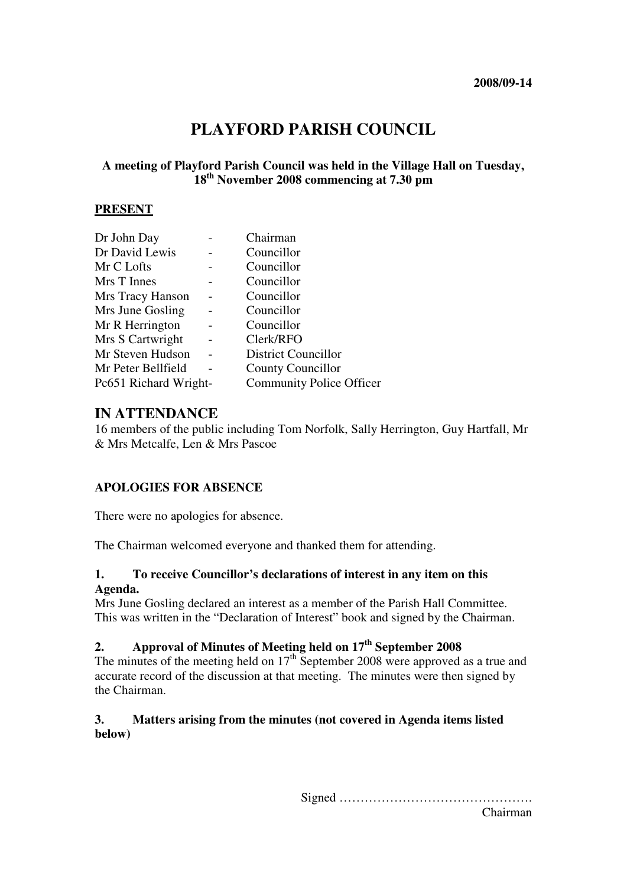# **PLAYFORD PARISH COUNCIL**

## **A meeting of Playford Parish Council was held in the Village Hall on Tuesday, 18th November 2008 commencing at 7.30 pm**

#### **PRESENT**

| Dr John Day           | Chairman                        |
|-----------------------|---------------------------------|
| Dr David Lewis        | Councillor                      |
| Mr C Lofts            | Councillor                      |
| Mrs T Innes           | Councillor                      |
| Mrs Tracy Hanson      | Councillor                      |
| Mrs June Gosling      | Councillor                      |
| Mr R Herrington       | Councillor                      |
| Mrs S Cartwright      | Clerk/RFO                       |
| Mr Steven Hudson      | <b>District Councillor</b>      |
| Mr Peter Bellfield    | <b>County Councillor</b>        |
| Pc651 Richard Wright- | <b>Community Police Officer</b> |

## **IN ATTENDANCE**

16 members of the public including Tom Norfolk, Sally Herrington, Guy Hartfall, Mr & Mrs Metcalfe, Len & Mrs Pascoe

## **APOLOGIES FOR ABSENCE**

There were no apologies for absence.

The Chairman welcomed everyone and thanked them for attending.

#### **1. To receive Councillor's declarations of interest in any item on this Agenda.**

Mrs June Gosling declared an interest as a member of the Parish Hall Committee. This was written in the "Declaration of Interest" book and signed by the Chairman.

# **2. Approval of Minutes of Meeting held on 17th September 2008**

The minutes of the meeting held on  $17<sup>th</sup>$  September 2008 were approved as a true and accurate record of the discussion at that meeting. The minutes were then signed by the Chairman.

## **3. Matters arising from the minutes (not covered in Agenda items listed below)**

Signed ……………………………………….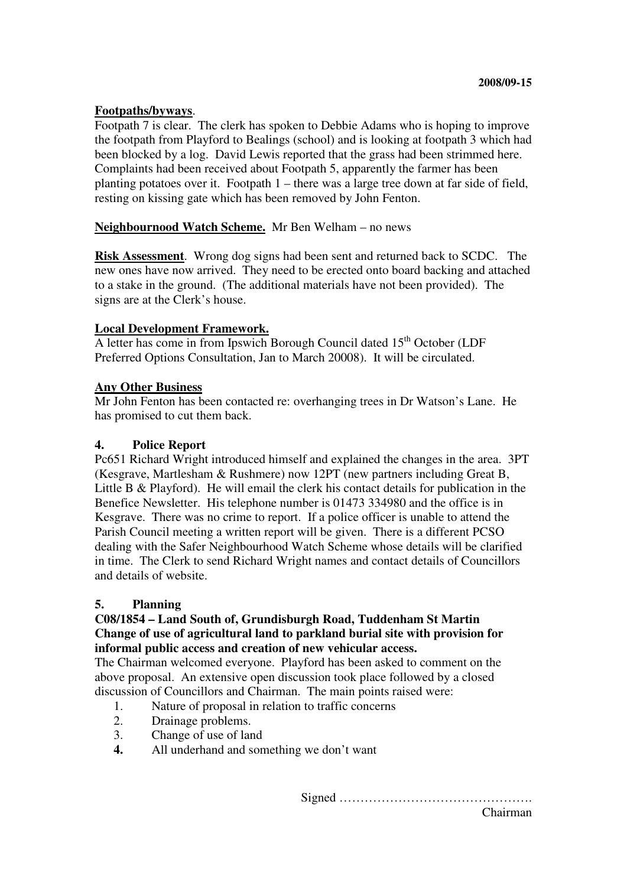#### **Footpaths/byways**.

Footpath 7 is clear. The clerk has spoken to Debbie Adams who is hoping to improve the footpath from Playford to Bealings (school) and is looking at footpath 3 which had been blocked by a log. David Lewis reported that the grass had been strimmed here. Complaints had been received about Footpath 5, apparently the farmer has been planting potatoes over it. Footpath 1 – there was a large tree down at far side of field, resting on kissing gate which has been removed by John Fenton.

#### **Neighbournood Watch Scheme.** Mr Ben Welham – no news

**Risk Assessment**. Wrong dog signs had been sent and returned back to SCDC. The new ones have now arrived. They need to be erected onto board backing and attached to a stake in the ground. (The additional materials have not been provided). The signs are at the Clerk's house.

#### **Local Development Framework.**

A letter has come in from Ipswich Borough Council dated 15<sup>th</sup> October (LDF) Preferred Options Consultation, Jan to March 20008). It will be circulated.

#### **Any Other Business**

Mr John Fenton has been contacted re: overhanging trees in Dr Watson's Lane. He has promised to cut them back.

#### **4. Police Report**

Pc651 Richard Wright introduced himself and explained the changes in the area. 3PT (Kesgrave, Martlesham & Rushmere) now 12PT (new partners including Great B, Little B & Playford). He will email the clerk his contact details for publication in the Benefice Newsletter. His telephone number is 01473 334980 and the office is in Kesgrave. There was no crime to report. If a police officer is unable to attend the Parish Council meeting a written report will be given. There is a different PCSO dealing with the Safer Neighbourhood Watch Scheme whose details will be clarified in time. The Clerk to send Richard Wright names and contact details of Councillors and details of website.

## **5. Planning**

#### **C08/1854 – Land South of, Grundisburgh Road, Tuddenham St Martin Change of use of agricultural land to parkland burial site with provision for informal public access and creation of new vehicular access.**

The Chairman welcomed everyone. Playford has been asked to comment on the above proposal. An extensive open discussion took place followed by a closed discussion of Councillors and Chairman. The main points raised were:

- 1. Nature of proposal in relation to traffic concerns
- 2. Drainage problems.
- 3. Change of use of land
- **4.** All underhand and something we don't want

Signed ……………………………………….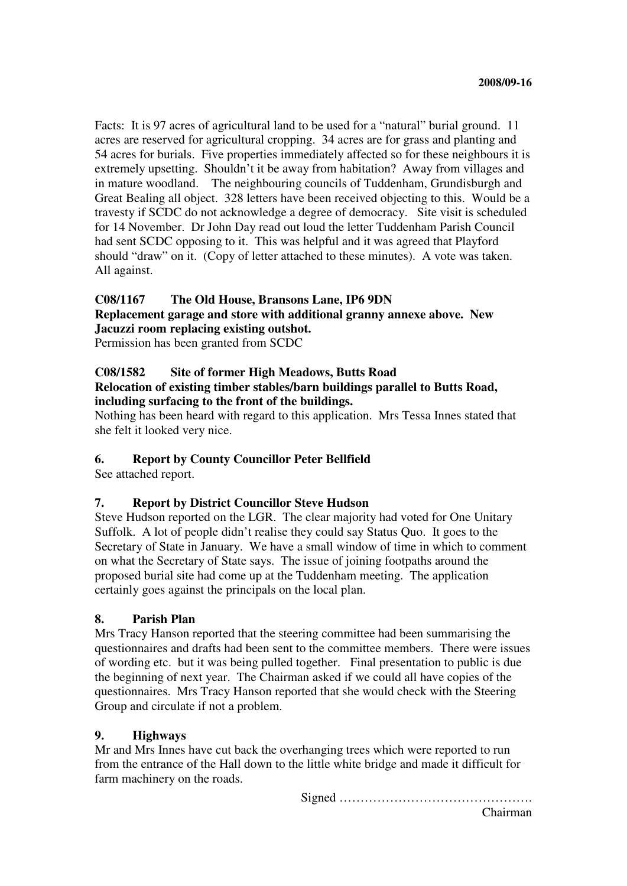Facts: It is 97 acres of agricultural land to be used for a "natural" burial ground. 11 acres are reserved for agricultural cropping. 34 acres are for grass and planting and 54 acres for burials. Five properties immediately affected so for these neighbours it is extremely upsetting. Shouldn't it be away from habitation? Away from villages and in mature woodland. The neighbouring councils of Tuddenham, Grundisburgh and Great Bealing all object. 328 letters have been received objecting to this. Would be a travesty if SCDC do not acknowledge a degree of democracy. Site visit is scheduled for 14 November.Dr John Day read out loud the letter Tuddenham Parish Council had sent SCDC opposing to it. This was helpful and it was agreed that Playford should "draw" on it. (Copy of letter attached to these minutes). A vote was taken. All against.

#### **C08/1167 The Old House, Bransons Lane, IP6 9DN**

**Replacement garage and store with additional granny annexe above. New Jacuzzi room replacing existing outshot.** 

Permission has been granted from SCDC

## **C08/1582 Site of former High Meadows, Butts Road**

#### **Relocation of existing timber stables/barn buildings parallel to Butts Road, including surfacing to the front of the buildings.**

Nothing has been heard with regard to this application. Mrs Tessa Innes stated that she felt it looked very nice.

## **6. Report by County Councillor Peter Bellfield**

See attached report.

## **7. Report by District Councillor Steve Hudson**

Steve Hudson reported on the LGR. The clear majority had voted for One Unitary Suffolk. A lot of people didn't realise they could say Status Quo. It goes to the Secretary of State in January. We have a small window of time in which to comment on what the Secretary of State says. The issue of joining footpaths around the proposed burial site had come up at the Tuddenham meeting. The application certainly goes against the principals on the local plan.

#### **8. Parish Plan**

Mrs Tracy Hanson reported that the steering committee had been summarising the questionnaires and drafts had been sent to the committee members. There were issues of wording etc. but it was being pulled together. Final presentation to public is due the beginning of next year. The Chairman asked if we could all have copies of the questionnaires. Mrs Tracy Hanson reported that she would check with the Steering Group and circulate if not a problem.

## **9. Highways**

Mr and Mrs Innes have cut back the overhanging trees which were reported to run from the entrance of the Hall down to the little white bridge and made it difficult for farm machinery on the roads.

Signed ……………………………………….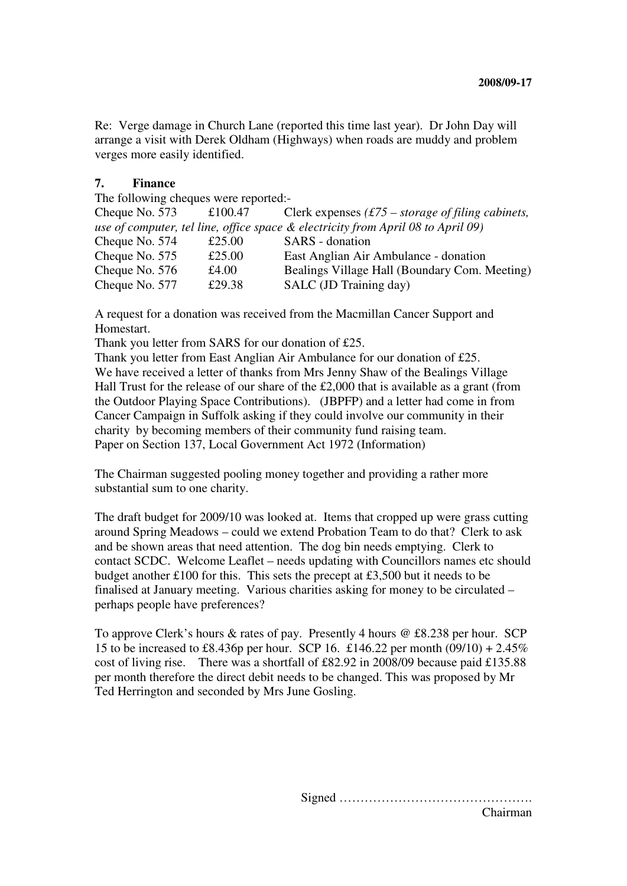Re: Verge damage in Church Lane (reported this time last year). Dr John Day will arrange a visit with Derek Oldham (Highways) when roads are muddy and problem verges more easily identified.

#### **7. Finance**

The following cheques were reported:-

| Cheque No. 573                                                                   | £100.47 | Clerk expenses $(f75 - storage of filing \textit{cabilities},$ |  |  |
|----------------------------------------------------------------------------------|---------|----------------------------------------------------------------|--|--|
| use of computer, tel line, office space & electricity from April 08 to April 09) |         |                                                                |  |  |
| Cheque No. 574                                                                   | £25.00  | SARS - donation                                                |  |  |
| Cheque No. 575                                                                   | £25.00  | East Anglian Air Ambulance - donation                          |  |  |
| Cheque No. 576                                                                   | £4.00   | Bealings Village Hall (Boundary Com. Meeting)                  |  |  |
| Cheque No. 577                                                                   | £29.38  | SALC (JD Training day)                                         |  |  |

A request for a donation was received from the Macmillan Cancer Support and Homestart.

Thank you letter from SARS for our donation of £25.

Thank you letter from East Anglian Air Ambulance for our donation of £25. We have received a letter of thanks from Mrs Jenny Shaw of the Bealings Village Hall Trust for the release of our share of the £2,000 that is available as a grant (from the Outdoor Playing Space Contributions). (JBPFP) and a letter had come in from Cancer Campaign in Suffolk asking if they could involve our community in their charity by becoming members of their community fund raising team. Paper on Section 137, Local Government Act 1972 (Information)

The Chairman suggested pooling money together and providing a rather more substantial sum to one charity.

The draft budget for 2009/10 was looked at. Items that cropped up were grass cutting around Spring Meadows – could we extend Probation Team to do that? Clerk to ask and be shown areas that need attention. The dog bin needs emptying. Clerk to contact SCDC. Welcome Leaflet – needs updating with Councillors names etc should budget another £100 for this. This sets the precept at £3,500 but it needs to be finalised at January meeting. Various charities asking for money to be circulated – perhaps people have preferences?

To approve Clerk's hours & rates of pay. Presently 4 hours @ £8.238 per hour. SCP 15 to be increased to £8.436p per hour. SCP 16. £146.22 per month (09/10) + 2.45% cost of living rise. There was a shortfall of £82.92 in 2008/09 because paid £135.88 per month therefore the direct debit needs to be changed. This was proposed by Mr Ted Herrington and seconded by Mrs June Gosling.

> Signed ………………………………………. Chairman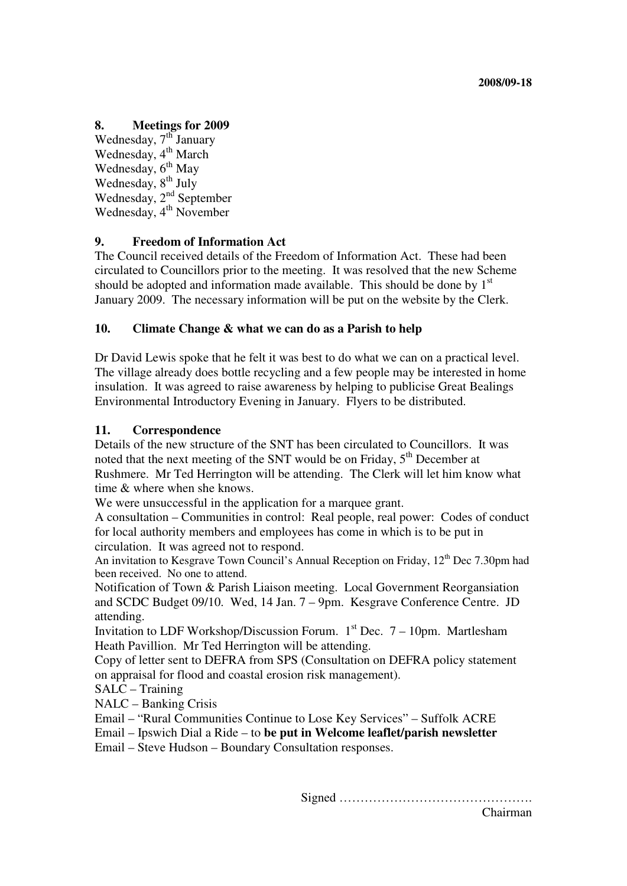## **8. Meetings for 2009**

Wednesday, 7<sup>th</sup> January Wednesday, 4<sup>th</sup> March Wednesday, 6<sup>th</sup> May Wednesday, 8<sup>th</sup> July Wednesday, 2<sup>nd</sup> September Wednesday,  $4^{\text{th}}$  November

## **9. Freedom of Information Act**

The Council received details of the Freedom of Information Act. These had been circulated to Councillors prior to the meeting. It was resolved that the new Scheme should be adopted and information made available. This should be done by  $1<sup>st</sup>$ January 2009. The necessary information will be put on the website by the Clerk.

## **10. Climate Change & what we can do as a Parish to help**

Dr David Lewis spoke that he felt it was best to do what we can on a practical level. The village already does bottle recycling and a few people may be interested in home insulation. It was agreed to raise awareness by helping to publicise Great Bealings Environmental Introductory Evening in January. Flyers to be distributed.

## **11. Correspondence**

Details of the new structure of the SNT has been circulated to Councillors. It was noted that the next meeting of the SNT would be on Friday,  $5<sup>th</sup>$  December at Rushmere. Mr Ted Herrington will be attending. The Clerk will let him know what time & where when she knows.

We were unsuccessful in the application for a marquee grant.

A consultation – Communities in control: Real people, real power: Codes of conduct for local authority members and employees has come in which is to be put in circulation. It was agreed not to respond.

An invitation to Kesgrave Town Council's Annual Reception on Friday, 12<sup>th</sup> Dec 7.30pm had been received. No one to attend.

Notification of Town & Parish Liaison meeting. Local Government Reorgansiation and SCDC Budget 09/10. Wed, 14 Jan. 7 – 9pm. Kesgrave Conference Centre. JD attending.

Invitation to LDF Workshop/Discussion Forum.  $1<sup>st</sup>$  Dec. 7 – 10pm. Martlesham Heath Pavillion. Mr Ted Herrington will be attending.

Copy of letter sent to DEFRA from SPS (Consultation on DEFRA policy statement on appraisal for flood and coastal erosion risk management).

SALC – Training

NALC – Banking Crisis

Email – "Rural Communities Continue to Lose Key Services" – Suffolk ACRE

Email – Ipswich Dial a Ride – to **be put in Welcome leaflet/parish newsletter** 

Email – Steve Hudson – Boundary Consultation responses.

Signed ……………………………………….

Chairman